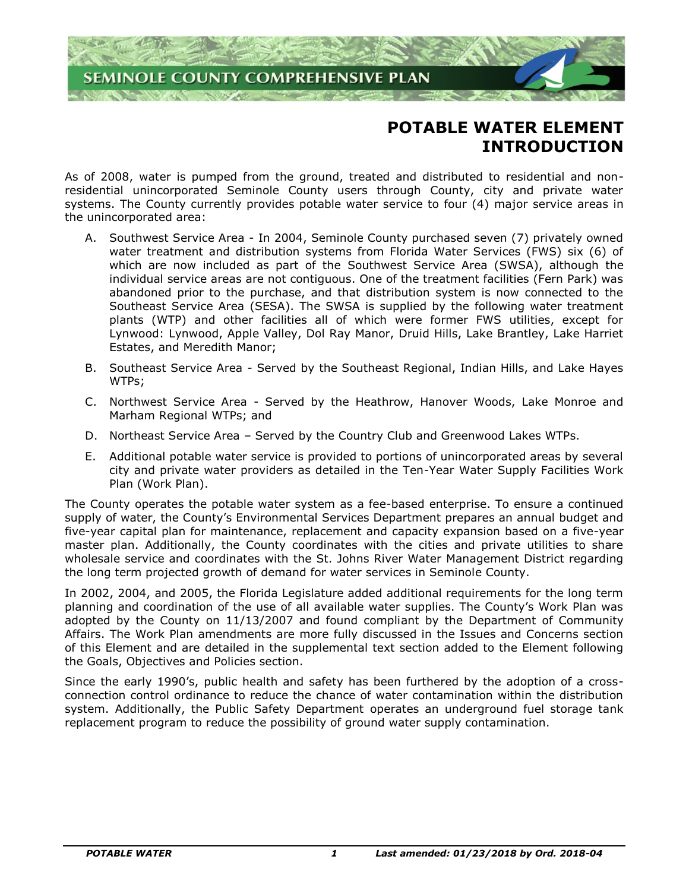

# **POTABLE WATER ELEMENT INTRODUCTION**

As of 2008, water is pumped from the ground, treated and distributed to residential and nonresidential unincorporated Seminole County users through County, city and private water systems. The County currently provides potable water service to four (4) major service areas in the unincorporated area:

- A. Southwest Service Area In 2004, Seminole County purchased seven (7) privately owned water treatment and distribution systems from Florida Water Services (FWS) six (6) of which are now included as part of the Southwest Service Area (SWSA), although the individual service areas are not contiguous. One of the treatment facilities (Fern Park) was abandoned prior to the purchase, and that distribution system is now connected to the Southeast Service Area (SESA). The SWSA is supplied by the following water treatment plants (WTP) and other facilities all of which were former FWS utilities, except for Lynwood: Lynwood, Apple Valley, Dol Ray Manor, Druid Hills, Lake Brantley, Lake Harriet Estates, and Meredith Manor;
- B. Southeast Service Area Served by the Southeast Regional, Indian Hills, and Lake Hayes WTPs;
- C. Northwest Service Area Served by the Heathrow, Hanover Woods, Lake Monroe and Marham Regional WTPs; and
- D. Northeast Service Area Served by the Country Club and Greenwood Lakes WTPs.
- E. Additional potable water service is provided to portions of unincorporated areas by several city and private water providers as detailed in the Ten-Year Water Supply Facilities Work Plan (Work Plan).

The County operates the potable water system as a fee-based enterprise. To ensure a continued supply of water, the County's Environmental Services Department prepares an annual budget and five-year capital plan for maintenance, replacement and capacity expansion based on a five-year master plan. Additionally, the County coordinates with the cities and private utilities to share wholesale service and coordinates with the St. Johns River Water Management District regarding the long term projected growth of demand for water services in Seminole County.

In 2002, 2004, and 2005, the Florida Legislature added additional requirements for the long term planning and coordination of the use of all available water supplies. The County's Work Plan was adopted by the County on 11/13/2007 and found compliant by the Department of Community Affairs. The Work Plan amendments are more fully discussed in the Issues and Concerns section of this Element and are detailed in the supplemental text section added to the Element following the Goals, Objectives and Policies section.

Since the early 1990's, public health and safety has been furthered by the adoption of a crossconnection control ordinance to reduce the chance of water contamination within the distribution system. Additionally, the Public Safety Department operates an underground fuel storage tank replacement program to reduce the possibility of ground water supply contamination.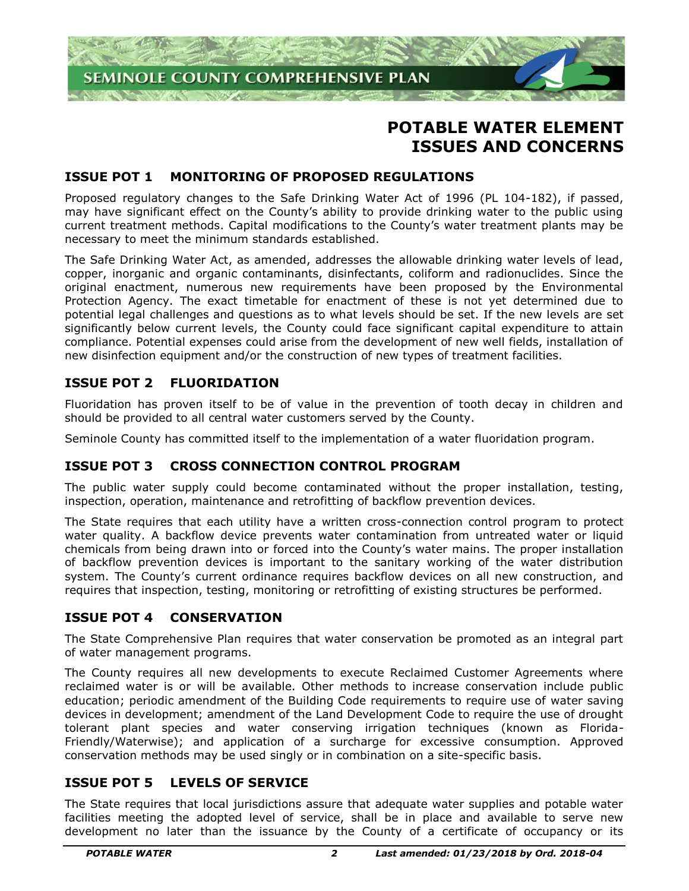

# **POTABLE WATER ELEMENT ISSUES AND CONCERNS**

# **ISSUE POT 1 MONITORING OF PROPOSED REGULATIONS**

Proposed regulatory changes to the Safe Drinking Water Act of 1996 (PL 104-182), if passed, may have significant effect on the County's ability to provide drinking water to the public using current treatment methods. Capital modifications to the County's water treatment plants may be necessary to meet the minimum standards established.

The Safe Drinking Water Act, as amended, addresses the allowable drinking water levels of lead, copper, inorganic and organic contaminants, disinfectants, coliform and radionuclides. Since the original enactment, numerous new requirements have been proposed by the Environmental Protection Agency. The exact timetable for enactment of these is not yet determined due to potential legal challenges and questions as to what levels should be set. If the new levels are set significantly below current levels, the County could face significant capital expenditure to attain compliance. Potential expenses could arise from the development of new well fields, installation of new disinfection equipment and/or the construction of new types of treatment facilities.

# **ISSUE POT 2 FLUORIDATION**

Fluoridation has proven itself to be of value in the prevention of tooth decay in children and should be provided to all central water customers served by the County.

Seminole County has committed itself to the implementation of a water fluoridation program.

# **ISSUE POT 3 CROSS CONNECTION CONTROL PROGRAM**

The public water supply could become contaminated without the proper installation, testing, inspection, operation, maintenance and retrofitting of backflow prevention devices.

The State requires that each utility have a written cross-connection control program to protect water quality. A backflow device prevents water contamination from untreated water or liquid chemicals from being drawn into or forced into the County's water mains. The proper installation of backflow prevention devices is important to the sanitary working of the water distribution system. The County's current ordinance requires backflow devices on all new construction, and requires that inspection, testing, monitoring or retrofitting of existing structures be performed.

## **ISSUE POT 4 CONSERVATION**

The State Comprehensive Plan requires that water conservation be promoted as an integral part of water management programs.

The County requires all new developments to execute Reclaimed Customer Agreements where reclaimed water is or will be available. Other methods to increase conservation include public education; periodic amendment of the Building Code requirements to require use of water saving devices in development; amendment of the Land Development Code to require the use of drought tolerant plant species and water conserving irrigation techniques (known as Florida-Friendly/Waterwise); and application of a surcharge for excessive consumption. Approved conservation methods may be used singly or in combination on a site-specific basis.

## **ISSUE POT 5 LEVELS OF SERVICE**

The State requires that local jurisdictions assure that adequate water supplies and potable water facilities meeting the adopted level of service, shall be in place and available to serve new development no later than the issuance by the County of a certificate of occupancy or its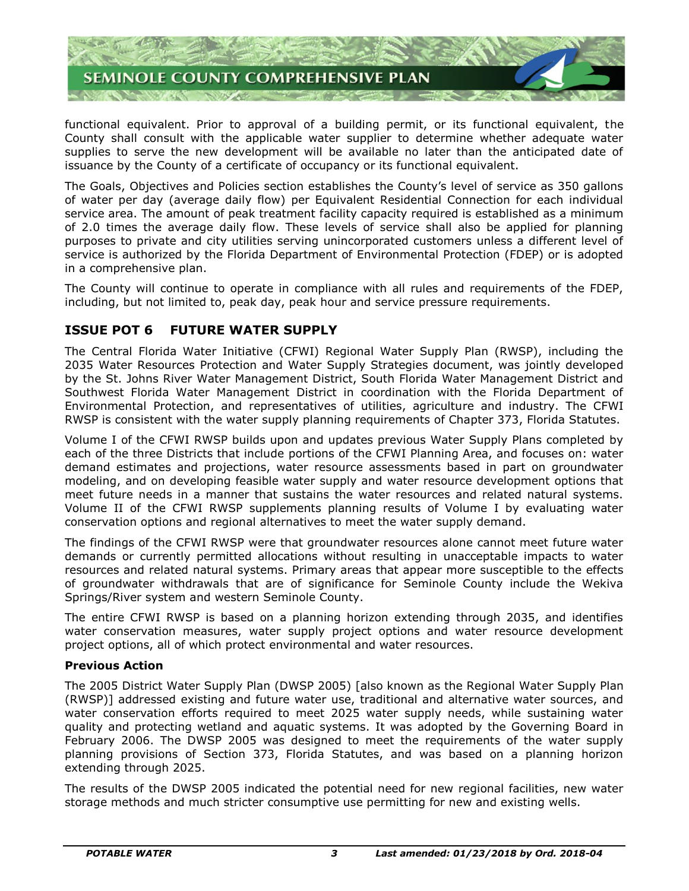

functional equivalent. Prior to approval of a building permit, or its functional equivalent, the County shall consult with the applicable water supplier to determine whether adequate water supplies to serve the new development will be available no later than the anticipated date of issuance by the County of a certificate of occupancy or its functional equivalent.

The Goals, Objectives and Policies section establishes the County's level of service as 350 gallons of water per day (average daily flow) per Equivalent Residential Connection for each individual service area. The amount of peak treatment facility capacity required is established as a minimum of 2.0 times the average daily flow. These levels of service shall also be applied for planning purposes to private and city utilities serving unincorporated customers unless a different level of service is authorized by the Florida Department of Environmental Protection (FDEP) or is adopted in a comprehensive plan.

The County will continue to operate in compliance with all rules and requirements of the FDEP, including, but not limited to, peak day, peak hour and service pressure requirements.

# **ISSUE POT 6 FUTURE WATER SUPPLY**

The Central Florida Water Initiative (CFWI) Regional Water Supply Plan (RWSP), including the 2035 Water Resources Protection and Water Supply Strategies document, was jointly developed by the St. Johns River Water Management District, South Florida Water Management District and Southwest Florida Water Management District in coordination with the Florida Department of Environmental Protection, and representatives of utilities, agriculture and industry. The CFWI RWSP is consistent with the water supply planning requirements of Chapter 373, Florida Statutes.

Volume I of the CFWI RWSP builds upon and updates previous Water Supply Plans completed by each of the three Districts that include portions of the CFWI Planning Area, and focuses on: water demand estimates and projections, water resource assessments based in part on groundwater modeling, and on developing feasible water supply and water resource development options that meet future needs in a manner that sustains the water resources and related natural systems. Volume II of the CFWI RWSP supplements planning results of Volume I by evaluating water conservation options and regional alternatives to meet the water supply demand.

The findings of the CFWI RWSP were that groundwater resources alone cannot meet future water demands or currently permitted allocations without resulting in unacceptable impacts to water resources and related natural systems. Primary areas that appear more susceptible to the effects of groundwater withdrawals that are of significance for Seminole County include the Wekiva Springs/River system and western Seminole County.

The entire CFWI RWSP is based on a planning horizon extending through 2035, and identifies water conservation measures, water supply project options and water resource development project options, all of which protect environmental and water resources.

#### **Previous Action**

The 2005 District Water Supply Plan (DWSP 2005) [also known as the Regional Water Supply Plan (RWSP)] addressed existing and future water use, traditional and alternative water sources, and water conservation efforts required to meet 2025 water supply needs, while sustaining water quality and protecting wetland and aquatic systems. It was adopted by the Governing Board in February 2006. The DWSP 2005 was designed to meet the requirements of the water supply planning provisions of Section 373, Florida Statutes, and was based on a planning horizon extending through 2025.

The results of the DWSP 2005 indicated the potential need for new regional facilities, new water storage methods and much stricter consumptive use permitting for new and existing wells.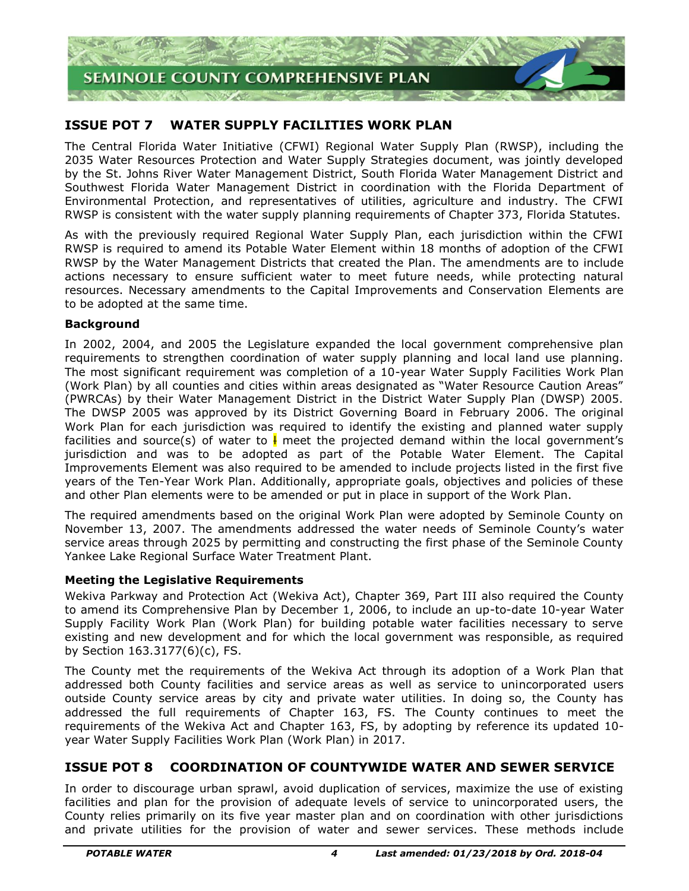

# **ISSUE POT 7 WATER SUPPLY FACILITIES WORK PLAN**

The Central Florida Water Initiative (CFWI) Regional Water Supply Plan (RWSP), including the 2035 Water Resources Protection and Water Supply Strategies document, was jointly developed by the St. Johns River Water Management District, South Florida Water Management District and Southwest Florida Water Management District in coordination with the Florida Department of Environmental Protection, and representatives of utilities, agriculture and industry. The CFWI RWSP is consistent with the water supply planning requirements of Chapter 373, Florida Statutes.

As with the previously required Regional Water Supply Plan, each jurisdiction within the CFWI RWSP is required to amend its Potable Water Element within 18 months of adoption of the CFWI RWSP by the Water Management Districts that created the Plan. The amendments are to include actions necessary to ensure sufficient water to meet future needs, while protecting natural resources. Necessary amendments to the Capital Improvements and Conservation Elements are to be adopted at the same time.

#### **Background**

In 2002, 2004, and 2005 the Legislature expanded the local government comprehensive plan requirements to strengthen coordination of water supply planning and local land use planning. The most significant requirement was completion of a 10-year Water Supply Facilities Work Plan (Work Plan) by all counties and cities within areas designated as "Water Resource Caution Areas" (PWRCAs) by their Water Management District in the District Water Supply Plan (DWSP) 2005. The DWSP 2005 was approved by its District Governing Board in February 2006. The original Work Plan for each jurisdiction was required to identify the existing and planned water supply facilities and source(s) of water to  $\frac{1}{2}$  meet the projected demand within the local government's jurisdiction and was to be adopted as part of the Potable Water Element. The Capital Improvements Element was also required to be amended to include projects listed in the first five years of the Ten-Year Work Plan. Additionally, appropriate goals, objectives and policies of these and other Plan elements were to be amended or put in place in support of the Work Plan.

The required amendments based on the original Work Plan were adopted by Seminole County on November 13, 2007. The amendments addressed the water needs of Seminole County's water service areas through 2025 by permitting and constructing the first phase of the Seminole County Yankee Lake Regional Surface Water Treatment Plant.

#### **Meeting the Legislative Requirements**

Wekiva Parkway and Protection Act (Wekiva Act), Chapter 369, Part III also required the County to amend its Comprehensive Plan by December 1, 2006, to include an up-to-date 10-year Water Supply Facility Work Plan (Work Plan) for building potable water facilities necessary to serve existing and new development and for which the local government was responsible, as required by Section 163.3177(6)(c), FS.

The County met the requirements of the Wekiva Act through its adoption of a Work Plan that addressed both County facilities and service areas as well as service to unincorporated users outside County service areas by city and private water utilities. In doing so, the County has addressed the full requirements of Chapter 163, FS. The County continues to meet the requirements of the Wekiva Act and Chapter 163, FS, by adopting by reference its updated 10 year Water Supply Facilities Work Plan (Work Plan) in 2017.

# **ISSUE POT 8 COORDINATION OF COUNTYWIDE WATER AND SEWER SERVICE**

In order to discourage urban sprawl, avoid duplication of services, maximize the use of existing facilities and plan for the provision of adequate levels of service to unincorporated users, the County relies primarily on its five year master plan and on coordination with other jurisdictions and private utilities for the provision of water and sewer services. These methods include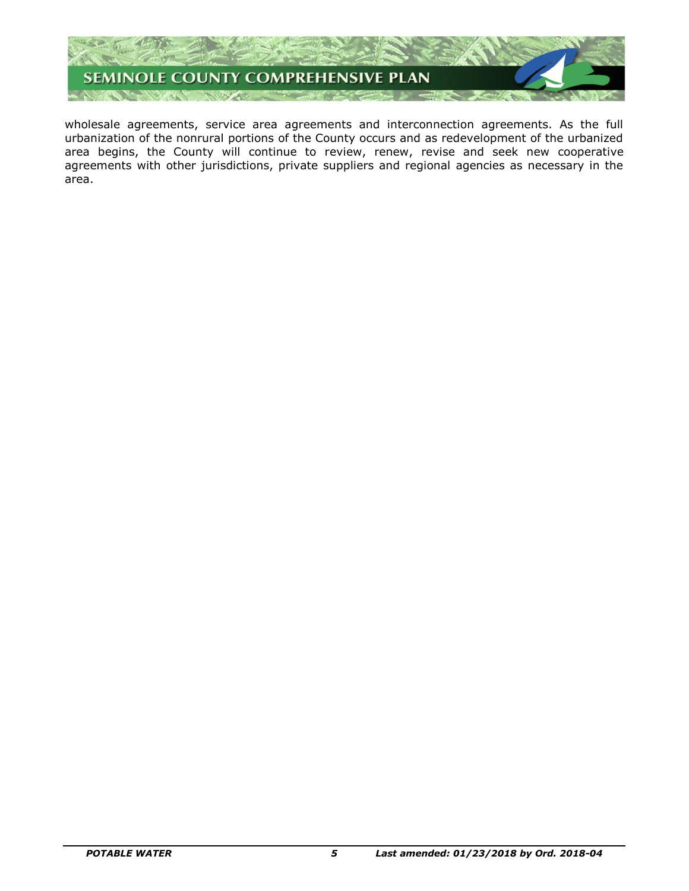

wholesale agreements, service area agreements and interconnection agreements. As the full urbanization of the nonrural portions of the County occurs and as redevelopment of the urbanized area begins, the County will continue to review, renew, revise and seek new cooperative agreements with other jurisdictions, private suppliers and regional agencies as necessary in the area.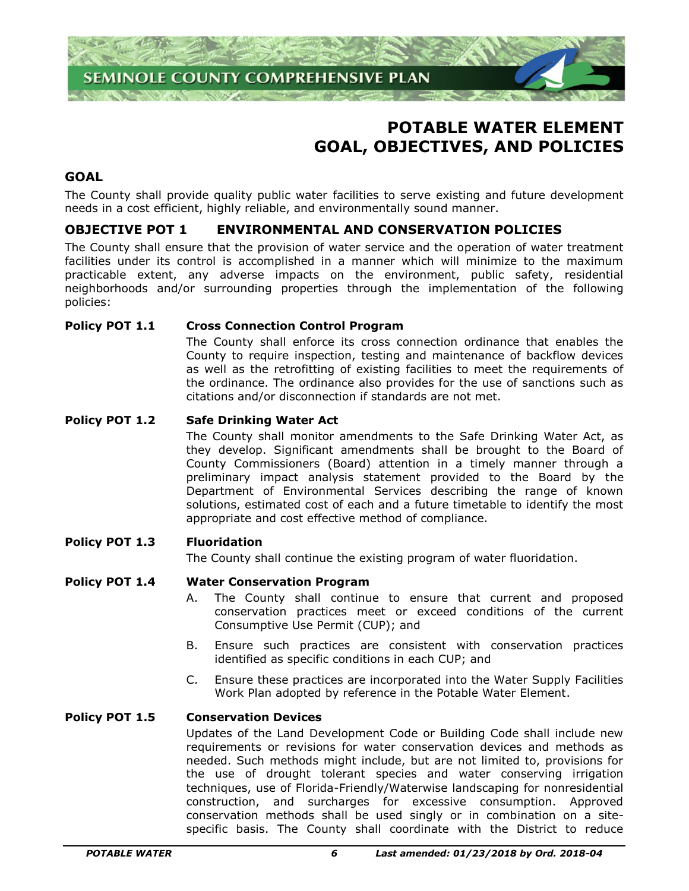

# **POTABLE WATER ELEMENT GOAL, OBJECTIVES, AND POLICIES**

## **GOAL**

The County shall provide quality public water facilities to serve existing and future development needs in a cost efficient, highly reliable, and environmentally sound manner.

# **OBJECTIVE POT 1 ENVIRONMENTAL AND CONSERVATION POLICIES**

The County shall ensure that the provision of water service and the operation of water treatment facilities under its control is accomplished in a manner which will minimize to the maximum practicable extent, any adverse impacts on the environment, public safety, residential neighborhoods and/or surrounding properties through the implementation of the following policies:

#### **Policy POT 1.1 Cross Connection Control Program**

The County shall enforce its cross connection ordinance that enables the County to require inspection, testing and maintenance of backflow devices as well as the retrofitting of existing facilities to meet the requirements of the ordinance. The ordinance also provides for the use of sanctions such as citations and/or disconnection if standards are not met.

#### **Policy POT 1.2 Safe Drinking Water Act**

The County shall monitor amendments to the Safe Drinking Water Act, as they develop. Significant amendments shall be brought to the Board of County Commissioners (Board) attention in a timely manner through a preliminary impact analysis statement provided to the Board by the Department of Environmental Services describing the range of known solutions, estimated cost of each and a future timetable to identify the most appropriate and cost effective method of compliance.

#### **Policy POT 1.3 Fluoridation**

The County shall continue the existing program of water fluoridation.

#### **Policy POT 1.4 Water Conservation Program**

- A. The County shall continue to ensure that current and proposed conservation practices meet or exceed conditions of the current Consumptive Use Permit (CUP); and
- B. Ensure such practices are consistent with conservation practices identified as specific conditions in each CUP; and
- C. Ensure these practices are incorporated into the Water Supply Facilities Work Plan adopted by reference in the Potable Water Element.

## **Policy POT 1.5 Conservation Devices**

Updates of the Land Development Code or Building Code shall include new requirements or revisions for water conservation devices and methods as needed. Such methods might include, but are not limited to, provisions for the use of drought tolerant species and water conserving irrigation techniques, use of Florida-Friendly/Waterwise landscaping for nonresidential construction, and surcharges for excessive consumption. Approved conservation methods shall be used singly or in combination on a sitespecific basis. The County shall coordinate with the District to reduce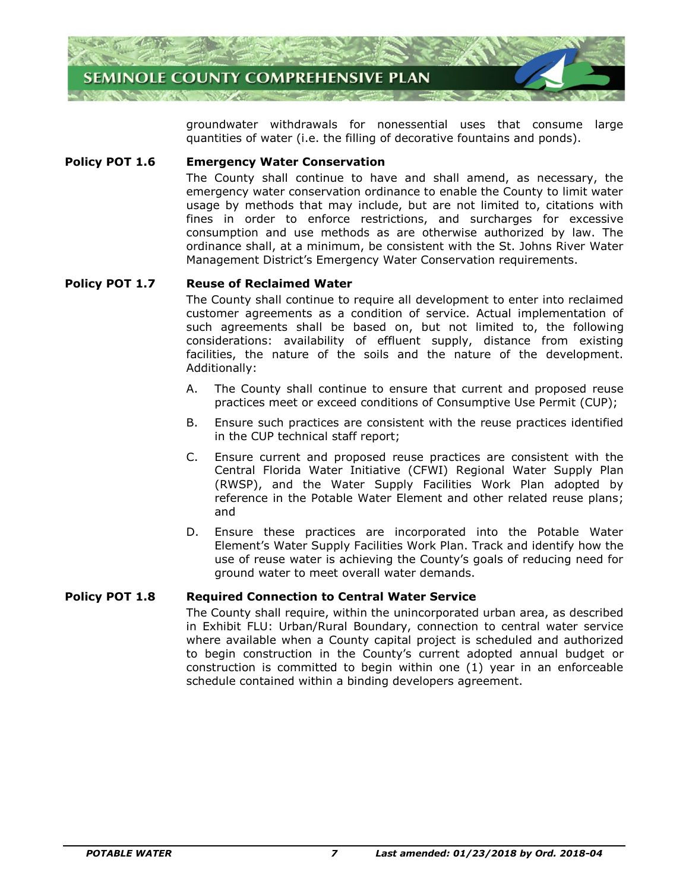

groundwater withdrawals for nonessential uses that consume large quantities of water (i.e. the filling of decorative fountains and ponds).

#### **Policy POT 1.6 Emergency Water Conservation**

The County shall continue to have and shall amend, as necessary, the emergency water conservation ordinance to enable the County to limit water usage by methods that may include, but are not limited to, citations with fines in order to enforce restrictions, and surcharges for excessive consumption and use methods as are otherwise authorized by law. The ordinance shall, at a minimum, be consistent with the St. Johns River Water Management District's Emergency Water Conservation requirements.

#### **Policy POT 1.7 Reuse of Reclaimed Water**

The County shall continue to require all development to enter into reclaimed customer agreements as a condition of service. Actual implementation of such agreements shall be based on, but not limited to, the following considerations: availability of effluent supply, distance from existing facilities, the nature of the soils and the nature of the development. Additionally:

- A. The County shall continue to ensure that current and proposed reuse practices meet or exceed conditions of Consumptive Use Permit (CUP);
- B. Ensure such practices are consistent with the reuse practices identified in the CUP technical staff report;
- C. Ensure current and proposed reuse practices are consistent with the Central Florida Water Initiative (CFWI) Regional Water Supply Plan (RWSP), and the Water Supply Facilities Work Plan adopted by reference in the Potable Water Element and other related reuse plans; and
- D. Ensure these practices are incorporated into the Potable Water Element's Water Supply Facilities Work Plan. Track and identify how the use of reuse water is achieving the County's goals of reducing need for ground water to meet overall water demands.

#### **Policy POT 1.8 Required Connection to Central Water Service**

The County shall require, within the unincorporated urban area, as described in Exhibit FLU: Urban/Rural Boundary, connection to central water service where available when a County capital project is scheduled and authorized to begin construction in the County's current adopted annual budget or construction is committed to begin within one (1) year in an enforceable schedule contained within a binding developers agreement.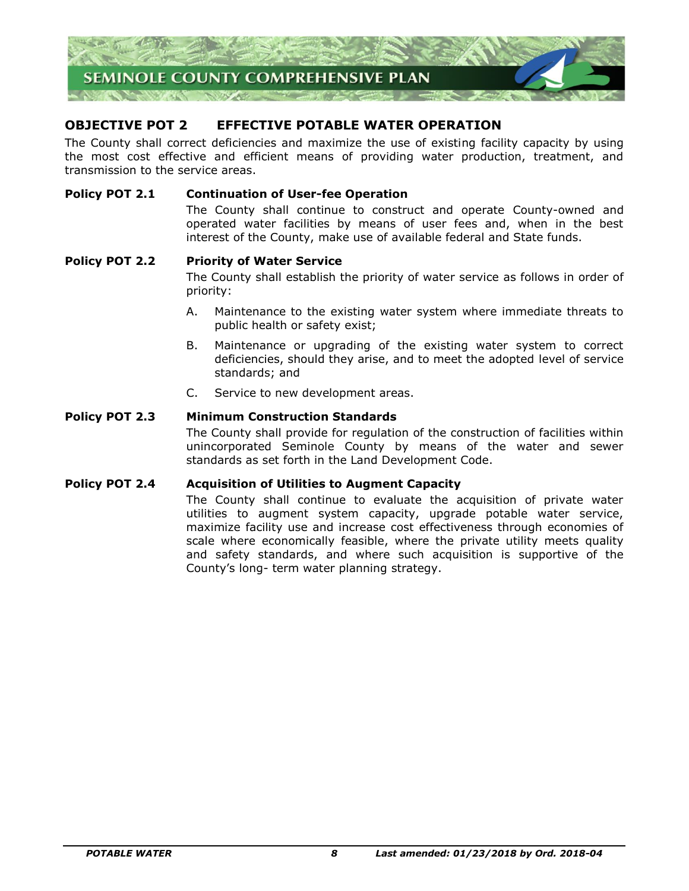

# **OBJECTIVE POT 2 EFFECTIVE POTABLE WATER OPERATION**

The County shall correct deficiencies and maximize the use of existing facility capacity by using the most cost effective and efficient means of providing water production, treatment, and transmission to the service areas.

#### **Policy POT 2.1 Continuation of User-fee Operation**

The County shall continue to construct and operate County-owned and operated water facilities by means of user fees and, when in the best interest of the County, make use of available federal and State funds.

#### **Policy POT 2.2 Priority of Water Service**

The County shall establish the priority of water service as follows in order of priority:

- A. Maintenance to the existing water system where immediate threats to public health or safety exist;
- B. Maintenance or upgrading of the existing water system to correct deficiencies, should they arise, and to meet the adopted level of service standards; and
- C. Service to new development areas.

#### **Policy POT 2.3 Minimum Construction Standards**

The County shall provide for regulation of the construction of facilities within unincorporated Seminole County by means of the water and sewer standards as set forth in the Land Development Code.

#### **Policy POT 2.4 Acquisition of Utilities to Augment Capacity**

The County shall continue to evaluate the acquisition of private water utilities to augment system capacity, upgrade potable water service, maximize facility use and increase cost effectiveness through economies of scale where economically feasible, where the private utility meets quality and safety standards, and where such acquisition is supportive of the County's long- term water planning strategy.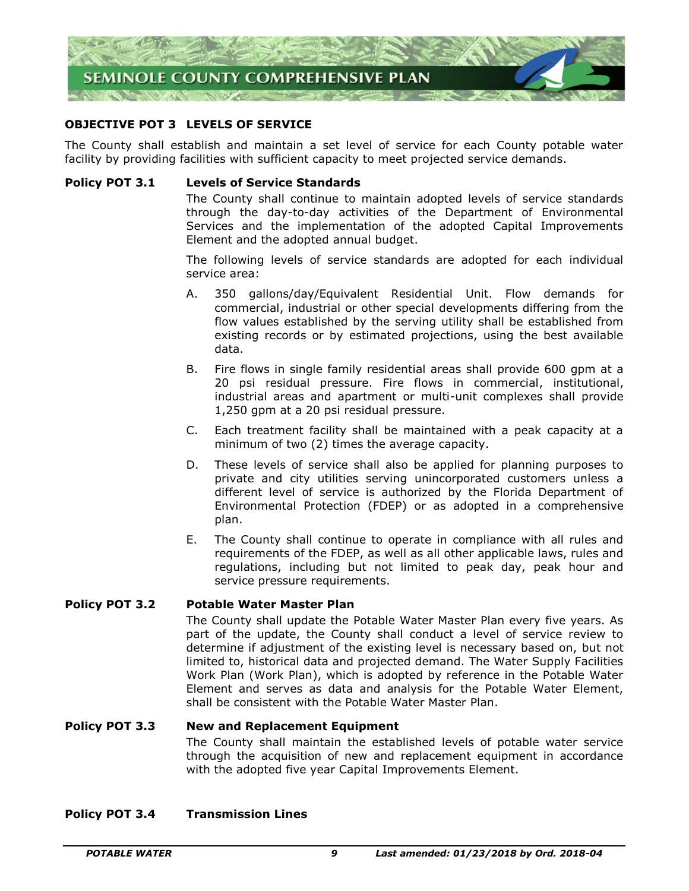

#### **OBJECTIVE POT 3 LEVELS OF SERVICE**

The County shall establish and maintain a set level of service for each County potable water facility by providing facilities with sufficient capacity to meet projected service demands.

#### **Policy POT 3.1 Levels of Service Standards**

The County shall continue to maintain adopted levels of service standards through the day-to-day activities of the Department of Environmental Services and the implementation of the adopted Capital Improvements Element and the adopted annual budget.

The following levels of service standards are adopted for each individual service area:

- A. 350 gallons/day/Equivalent Residential Unit. Flow demands for commercial, industrial or other special developments differing from the flow values established by the serving utility shall be established from existing records or by estimated projections, using the best available data.
- B. Fire flows in single family residential areas shall provide 600 gpm at a 20 psi residual pressure. Fire flows in commercial, institutional, industrial areas and apartment or multi-unit complexes shall provide 1,250 gpm at a 20 psi residual pressure.
- C. Each treatment facility shall be maintained with a peak capacity at a minimum of two (2) times the average capacity.
- D. These levels of service shall also be applied for planning purposes to private and city utilities serving unincorporated customers unless a different level of service is authorized by the Florida Department of Environmental Protection (FDEP) or as adopted in a comprehensive plan.
- E. The County shall continue to operate in compliance with all rules and requirements of the FDEP, as well as all other applicable laws, rules and regulations, including but not limited to peak day, peak hour and service pressure requirements.

#### **Policy POT 3.2 Potable Water Master Plan**

The County shall update the Potable Water Master Plan every five years. As part of the update, the County shall conduct a level of service review to determine if adjustment of the existing level is necessary based on, but not limited to, historical data and projected demand. The Water Supply Facilities Work Plan (Work Plan), which is adopted by reference in the Potable Water Element and serves as data and analysis for the Potable Water Element, shall be consistent with the Potable Water Master Plan.

#### **Policy POT 3.3 New and Replacement Equipment**

The County shall maintain the established levels of potable water service through the acquisition of new and replacement equipment in accordance with the adopted five year Capital Improvements Element.

#### **Policy POT 3.4 Transmission Lines**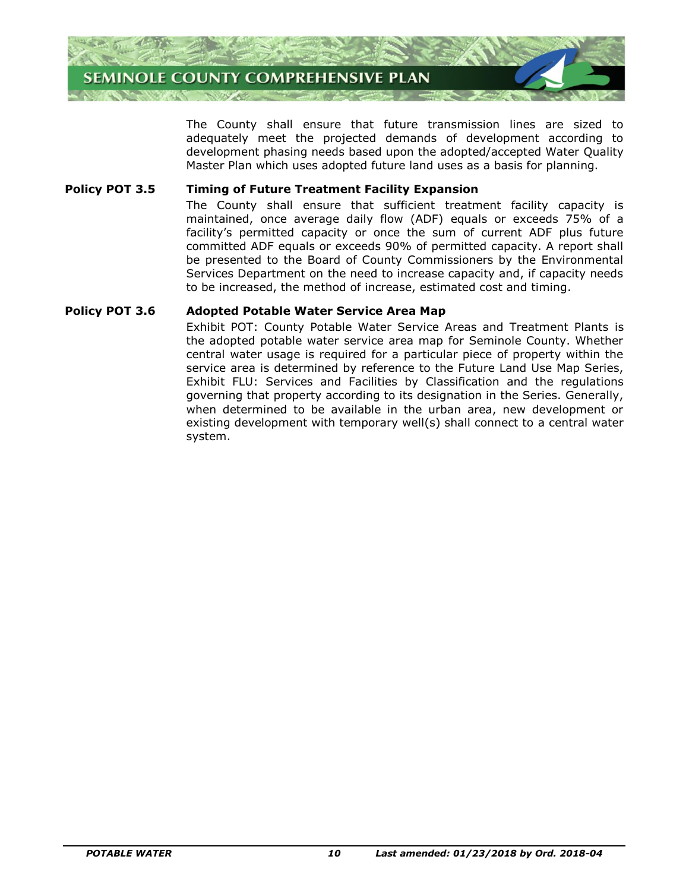

The County shall ensure that future transmission lines are sized to adequately meet the projected demands of development according to development phasing needs based upon the adopted/accepted Water Quality Master Plan which uses adopted future land uses as a basis for planning.

#### **Policy POT 3.5 Timing of Future Treatment Facility Expansion**

The County shall ensure that sufficient treatment facility capacity is maintained, once average daily flow (ADF) equals or exceeds 75% of a facility's permitted capacity or once the sum of current ADF plus future committed ADF equals or exceeds 90% of permitted capacity. A report shall be presented to the Board of County Commissioners by the Environmental Services Department on the need to increase capacity and, if capacity needs to be increased, the method of increase, estimated cost and timing.

#### **Policy POT 3.6 Adopted Potable Water Service Area Map**

Exhibit POT: County Potable Water Service Areas and Treatment Plants is the adopted potable water service area map for Seminole County. Whether central water usage is required for a particular piece of property within the service area is determined by reference to the Future Land Use Map Series, Exhibit FLU: Services and Facilities by Classification and the regulations governing that property according to its designation in the Series. Generally, when determined to be available in the urban area, new development or existing development with temporary well(s) shall connect to a central water system.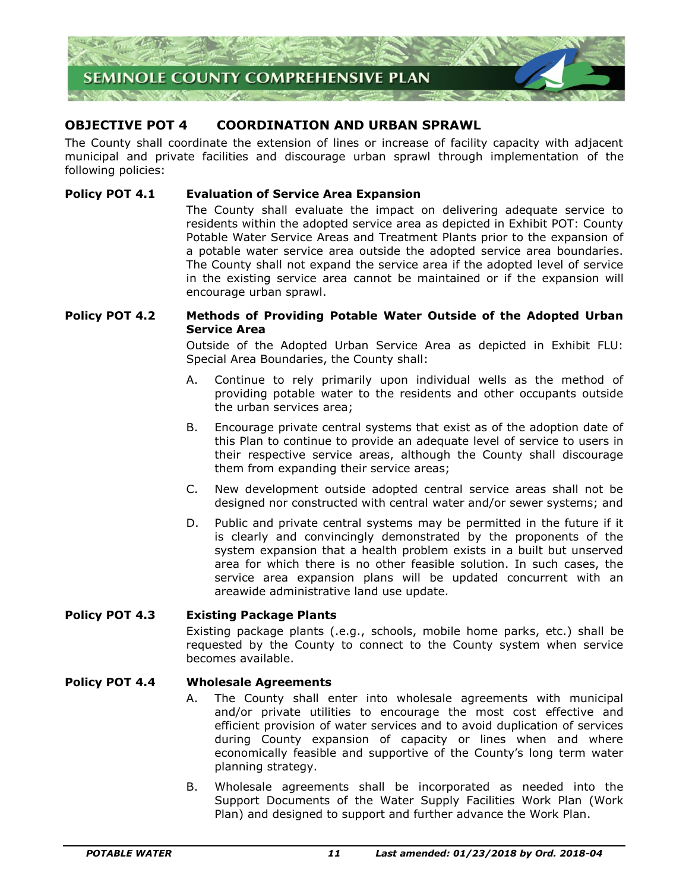

# **OBJECTIVE POT 4 COORDINATION AND URBAN SPRAWL**

The County shall coordinate the extension of lines or increase of facility capacity with adjacent municipal and private facilities and discourage urban sprawl through implementation of the following policies:

#### **Policy POT 4.1 Evaluation of Service Area Expansion**

The County shall evaluate the impact on delivering adequate service to residents within the adopted service area as depicted in Exhibit POT: County Potable Water Service Areas and Treatment Plants prior to the expansion of a potable water service area outside the adopted service area boundaries. The County shall not expand the service area if the adopted level of service in the existing service area cannot be maintained or if the expansion will encourage urban sprawl.

#### **Policy POT 4.2 Methods of Providing Potable Water Outside of the Adopted Urban Service Area**

Outside of the Adopted Urban Service Area as depicted in Exhibit FLU: Special Area Boundaries, the County shall:

- A. Continue to rely primarily upon individual wells as the method of providing potable water to the residents and other occupants outside the urban services area;
- B. Encourage private central systems that exist as of the adoption date of this Plan to continue to provide an adequate level of service to users in their respective service areas, although the County shall discourage them from expanding their service areas;
- C. New development outside adopted central service areas shall not be designed nor constructed with central water and/or sewer systems; and
- D. Public and private central systems may be permitted in the future if it is clearly and convincingly demonstrated by the proponents of the system expansion that a health problem exists in a built but unserved area for which there is no other feasible solution. In such cases, the service area expansion plans will be updated concurrent with an areawide administrative land use update.

#### **Policy POT 4.3 Existing Package Plants**

Existing package plants (.e.g., schools, mobile home parks, etc.) shall be requested by the County to connect to the County system when service becomes available.

#### **Policy POT 4.4 Wholesale Agreements**

- A. The County shall enter into wholesale agreements with municipal and/or private utilities to encourage the most cost effective and efficient provision of water services and to avoid duplication of services during County expansion of capacity or lines when and where economically feasible and supportive of the County's long term water planning strategy.
- B. Wholesale agreements shall be incorporated as needed into the Support Documents of the Water Supply Facilities Work Plan (Work Plan) and designed to support and further advance the Work Plan.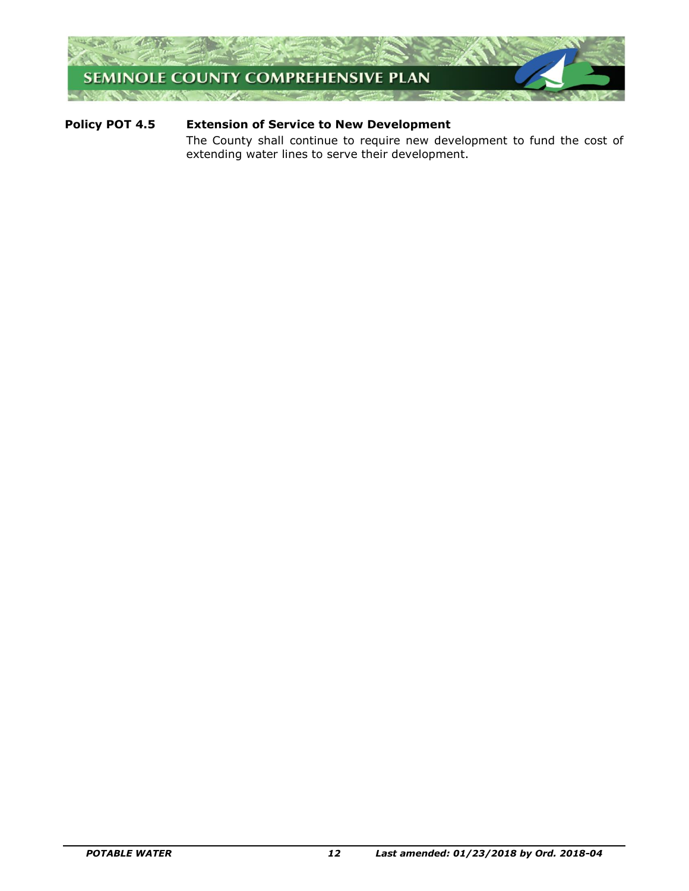

# **Policy POT 4.5 Extension of Service to New Development**

The County shall continue to require new development to fund the cost of extending water lines to serve their development.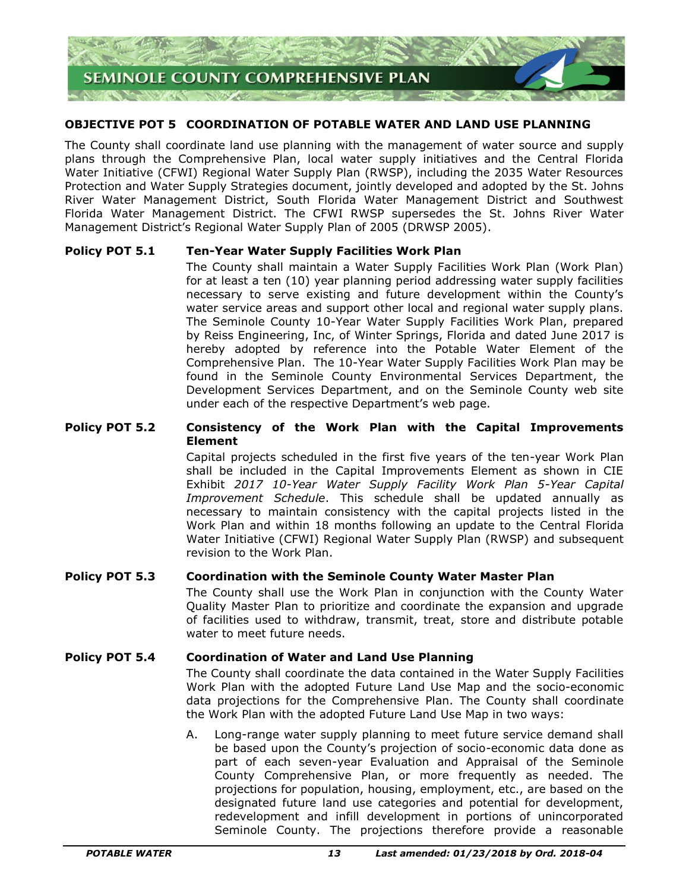

#### **OBJECTIVE POT 5 COORDINATION OF POTABLE WATER AND LAND USE PLANNING**

The County shall coordinate land use planning with the management of water source and supply plans through the Comprehensive Plan, local water supply initiatives and the Central Florida Water Initiative (CFWI) Regional Water Supply Plan (RWSP), including the 2035 Water Resources Protection and Water Supply Strategies document, jointly developed and adopted by the St. Johns River Water Management District, South Florida Water Management District and Southwest Florida Water Management District. The CFWI RWSP supersedes the St. Johns River Water Management District's Regional Water Supply Plan of 2005 (DRWSP 2005).

#### **Policy POT 5.1 Ten-Year Water Supply Facilities Work Plan**

The County shall maintain a Water Supply Facilities Work Plan (Work Plan) for at least a ten (10) year planning period addressing water supply facilities necessary to serve existing and future development within the County's water service areas and support other local and regional water supply plans. The Seminole County 10-Year Water Supply Facilities Work Plan, prepared by Reiss Engineering, Inc, of Winter Springs, Florida and dated June 2017 is hereby adopted by reference into the Potable Water Element of the Comprehensive Plan. The 10-Year Water Supply Facilities Work Plan may be found in the Seminole County Environmental Services Department, the Development Services Department, and on the Seminole County web site under each of the respective Department's web page.

#### **Policy POT 5.2 Consistency of the Work Plan with the Capital Improvements Element**

Capital projects scheduled in the first five years of the ten-year Work Plan shall be included in the Capital Improvements Element as shown in CIE Exhibit *2017 10-Year Water Supply Facility Work Plan 5-Year Capital Improvement Schedule*. This schedule shall be updated annually as necessary to maintain consistency with the capital projects listed in the Work Plan and within 18 months following an update to the Central Florida Water Initiative (CFWI) Regional Water Supply Plan (RWSP) and subsequent revision to the Work Plan.

#### **Policy POT 5.3 Coordination with the Seminole County Water Master Plan**

The County shall use the Work Plan in conjunction with the County Water Quality Master Plan to prioritize and coordinate the expansion and upgrade of facilities used to withdraw, transmit, treat, store and distribute potable water to meet future needs.

#### **Policy POT 5.4 Coordination of Water and Land Use Planning**

The County shall coordinate the data contained in the Water Supply Facilities Work Plan with the adopted Future Land Use Map and the socio-economic data projections for the Comprehensive Plan. The County shall coordinate the Work Plan with the adopted Future Land Use Map in two ways:

A. Long-range water supply planning to meet future service demand shall be based upon the County's projection of socio-economic data done as part of each seven-year Evaluation and Appraisal of the Seminole County Comprehensive Plan, or more frequently as needed. The projections for population, housing, employment, etc., are based on the designated future land use categories and potential for development, redevelopment and infill development in portions of unincorporated Seminole County. The projections therefore provide a reasonable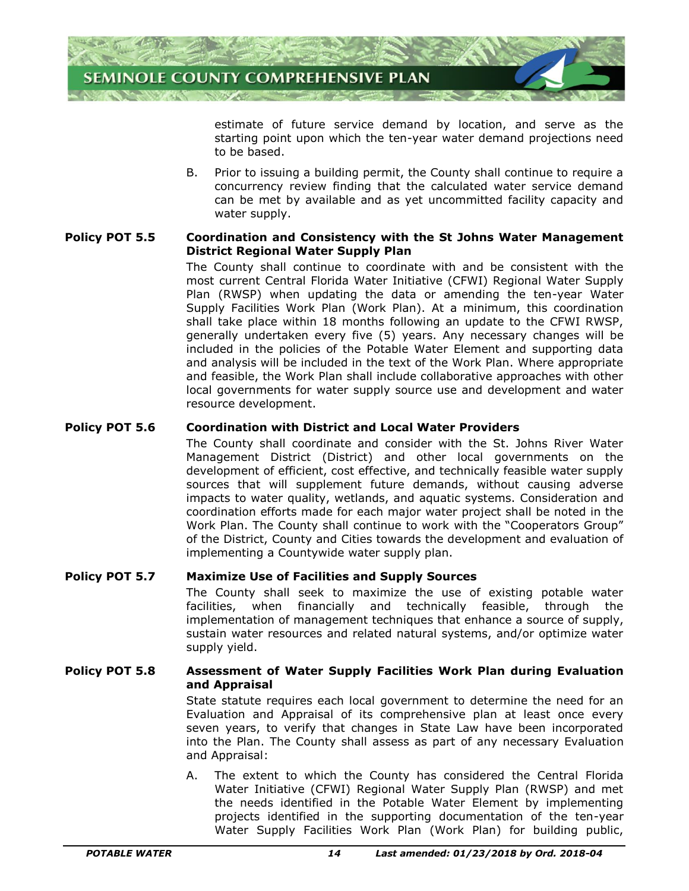

estimate of future service demand by location, and serve as the starting point upon which the ten-year water demand projections need to be based.

B. Prior to issuing a building permit, the County shall continue to require a concurrency review finding that the calculated water service demand can be met by available and as yet uncommitted facility capacity and water supply.

#### **Policy POT 5.5 Coordination and Consistency with the St Johns Water Management District Regional Water Supply Plan**

The County shall continue to coordinate with and be consistent with the most current Central Florida Water Initiative (CFWI) Regional Water Supply Plan (RWSP) when updating the data or amending the ten-year Water Supply Facilities Work Plan (Work Plan). At a minimum, this coordination shall take place within 18 months following an update to the CFWI RWSP, generally undertaken every five (5) years. Any necessary changes will be included in the policies of the Potable Water Element and supporting data and analysis will be included in the text of the Work Plan. Where appropriate and feasible, the Work Plan shall include collaborative approaches with other local governments for water supply source use and development and water resource development.

#### **Policy POT 5.6 Coordination with District and Local Water Providers**

The County shall coordinate and consider with the St. Johns River Water Management District (District) and other local governments on the development of efficient, cost effective, and technically feasible water supply sources that will supplement future demands, without causing adverse impacts to water quality, wetlands, and aquatic systems. Consideration and coordination efforts made for each major water project shall be noted in the Work Plan. The County shall continue to work with the "Cooperators Group" of the District, County and Cities towards the development and evaluation of implementing a Countywide water supply plan.

#### **Policy POT 5.7 Maximize Use of Facilities and Supply Sources**

The County shall seek to maximize the use of existing potable water facilities, when financially and technically feasible, through the implementation of management techniques that enhance a source of supply, sustain water resources and related natural systems, and/or optimize water supply yield.

#### **Policy POT 5.8 Assessment of Water Supply Facilities Work Plan during Evaluation and Appraisal**

State statute requires each local government to determine the need for an Evaluation and Appraisal of its comprehensive plan at least once every seven years, to verify that changes in State Law have been incorporated into the Plan. The County shall assess as part of any necessary Evaluation and Appraisal:

A. The extent to which the County has considered the Central Florida Water Initiative (CFWI) Regional Water Supply Plan (RWSP) and met the needs identified in the Potable Water Element by implementing projects identified in the supporting documentation of the ten-year Water Supply Facilities Work Plan (Work Plan) for building public,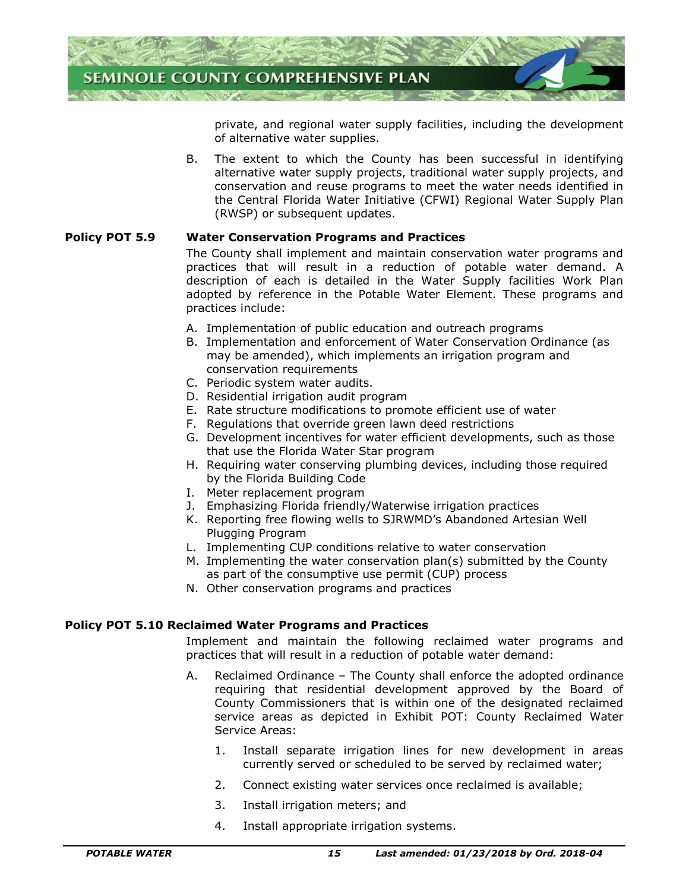

private, and regional water supply facilities, including the development of alternative water supplies.

B. The extent to which the County has been successful in identifying alternative water supply projects, traditional water supply projects, and conservation and reuse programs to meet the water needs identified in the Central Florida Water Initiative (CFWI) Regional Water Supply Plan (RWSP) or subsequent updates.

#### **Policy POT 5.9 Water Conservation Programs and Practices**

The County shall implement and maintain conservation water programs and practices that will result in a reduction of potable water demand. A description of each is detailed in the Water Supply facilities Work Plan adopted by reference in the Potable Water Element. These programs and practices include:

- A. Implementation of public education and outreach programs
- B. Implementation and enforcement of Water Conservation Ordinance (as may be amended), which implements an irrigation program and conservation requirements
- C. Periodic system water audits.
- D. Residential irrigation audit program
- E. Rate structure modifications to promote efficient use of water
- F. Regulations that override green lawn deed restrictions
- G. Development incentives for water efficient developments, such as those that use the Florida Water Star program
- H. Requiring water conserving plumbing devices, including those required by the Florida Building Code
- I. Meter replacement program
- J. Emphasizing Florida friendly/Waterwise irrigation practices
- K. Reporting free flowing wells to SJRWMD's Abandoned Artesian Well Plugging Program
- L. Implementing CUP conditions relative to water conservation
- M. Implementing the water conservation plan(s) submitted by the County as part of the consumptive use permit (CUP) process
- N. Other conservation programs and practices

#### **Policy POT 5.10 Reclaimed Water Programs and Practices**

Implement and maintain the following reclaimed water programs and practices that will result in a reduction of potable water demand:

- A. Reclaimed Ordinance The County shall enforce the adopted ordinance requiring that residential development approved by the Board of County Commissioners that is within one of the designated reclaimed service areas as depicted in Exhibit POT: County Reclaimed Water Service Areas:
	- 1. Install separate irrigation lines for new development in areas currently served or scheduled to be served by reclaimed water;
	- 2. Connect existing water services once reclaimed is available;
	- 3. Install irrigation meters; and
	- 4. Install appropriate irrigation systems.